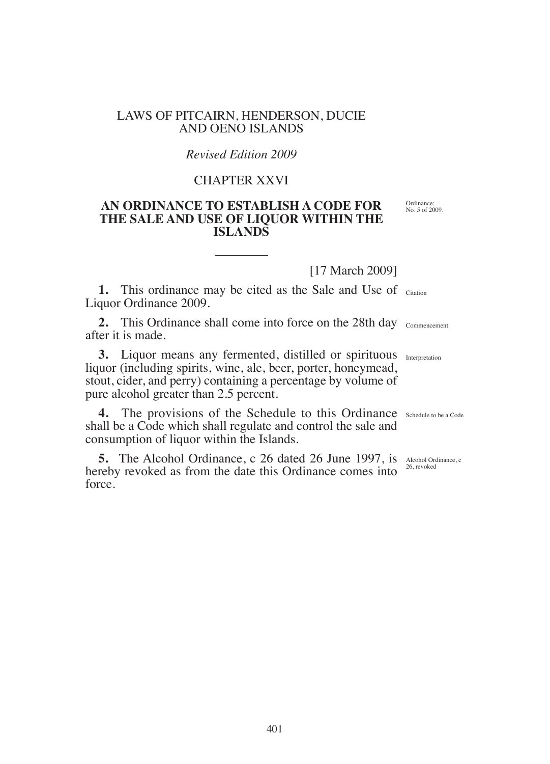# LAWS OF PITCAIRN, HENDERSON, DUCIE AND OENO ISLANDS

# *Revised Edition 2009*

# CHAPTER XXVI

# **AN ORDINANCE TO ESTABLISH A CODE FOR THE SALE AND USE OF LIQUOR WITHIN THE ISLANDS**

[17 March 2009]

1. This ordinance may be cited as the Sale and Use of Citation Liquor Ordinance 2009.

**2.** This Ordinance shall come into force on the 28th day commencement after it is made.

**3.** Liquor means any fermented, distilled or spirituous Interpretation liquor (including spirits, wine, ale, beer, porter, honeymead, stout, cider, and perry) containing a percentage by volume of pure alcohol greater than 2.5 percent.

**4.** The provisions of the Schedule to this Ordinance Schedule to be a Code shall be a Code which shall regulate and control the sale and consumption of liquor within the Islands.

**5.** The Alcohol Ordinance, c 26 dated 26 June 1997, is  $\Delta t$  Alcohol Ordinance, c analysis are expected as from the data this Ordinance compare into  $\frac{26, \text{revoked}}{26, \text{revoked}}}$ hereby revoked as from the date this Ordinance comes into force.

Ordinance: No. 5 of 2009.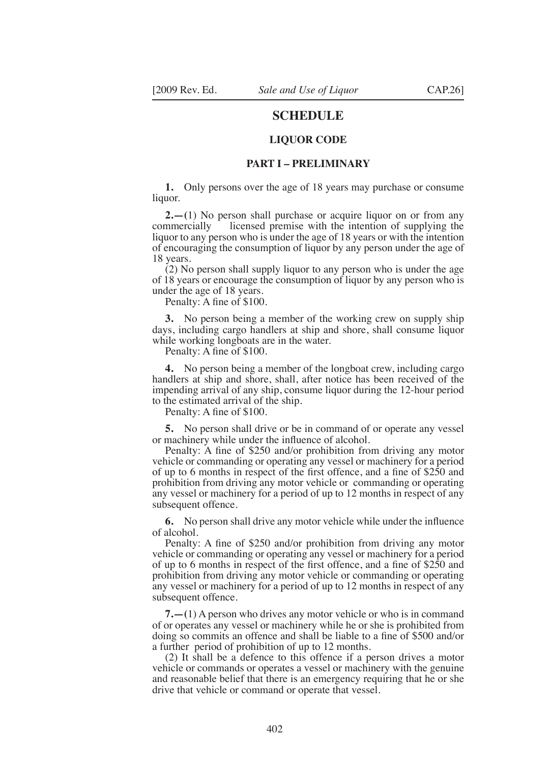# **SCHEDULE**

#### **LIQUOR CODE**

#### **PART I – PRELIMINARY**

**1.** Only persons over the age of 18 years may purchase or consume liquor.

**2.—(**1) No person shall purchase or acquire liquor on or from any commercially licensed premise with the intention of supplying the liquor to any person who is under the age of 18 years or with the intention of encouraging the consumption of liquor by any person under the age of 18 years.

(2) No person shall supply liquor to any person who is under the age of 18 years or encourage the consumption of liquor by any person who is under the age of 18 years.

Penalty: A fine of \$100.

**3.** No person being a member of the working crew on supply ship days, including cargo handlers at ship and shore, shall consume liquor while working longboats are in the water.

Penalty: A fine of \$100.

**4.** No person being a member of the longboat crew, including cargo handlers at ship and shore, shall, after notice has been received of the impending arrival of any ship, consume liquor during the 12-hour period to the estimated arrival of the ship.

Penalty: A fine of \$100.

**5.** No person shall drive or be in command of or operate any vessel or machinery while under the influence of alcohol.

Penalty: A fine of \$250 and/or prohibition from driving any motor vehicle or commanding or operating any vessel or machinery for a period of up to 6 months in respect of the irst offence, and a ine of \$250 and prohibition from driving any motor vehicle or commanding or operating any vessel or machinery for a period of up to 12 months in respect of any subsequent offence.

**6.** No person shall drive any motor vehicle while under the influence of alcohol.

Penalty: A fine of \$250 and/or prohibition from driving any motor vehicle or commanding or operating any vessel or machinery for a period of up to 6 months in respect of the first offence, and a fine of \$250 and prohibition from driving any motor vehicle or commanding or operating any vessel or machinery for a period of up to 12 months in respect of any subsequent offence.

**7.—(**1) A person who drives any motor vehicle or who is in command of or operates any vessel or machinery while he or she is prohibited from doing so commits an offence and shall be liable to a fine of \$500 and/or a further period of prohibition of up to 12 months.

(2) It shall be a defence to this offence if a person drives a motor vehicle or commands or operates a vessel or machinery with the genuine and reasonable belief that there is an emergency requiring that he or she drive that vehicle or command or operate that vessel.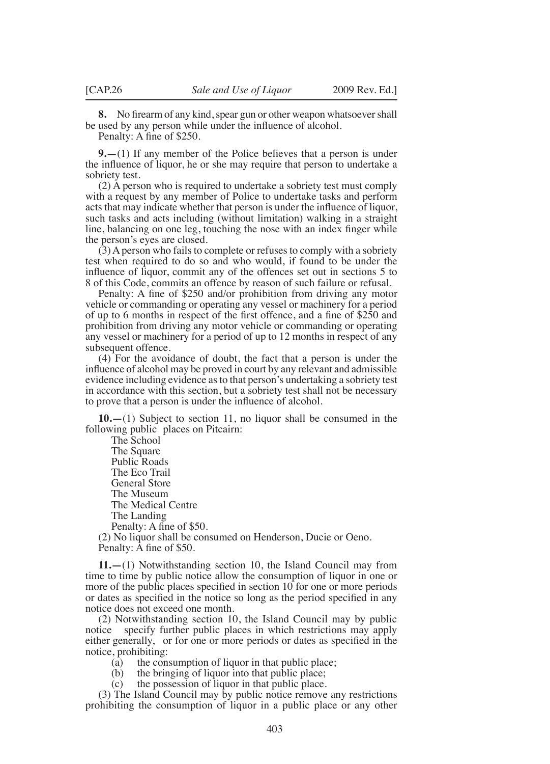**8.** No firearm of any kind, spear gun or other weapon whatsoever shall be used by any person while under the influence of alcohol.

Penalty: A fine of \$250.

**9.—**(1) If any member of the Police believes that a person is under the inluence of liquor, he or she may require that person to undertake a sobriety test.

(2) A person who is required to undertake a sobriety test must comply with a request by any member of Police to undertake tasks and perform acts that may indicate whether that person is under the influence of liquor, such tasks and acts including (without limitation) walking in a straight line, balancing on one leg, touching the nose with an index finger while the person's eyes are closed.

 $(3)$  A person who fails to complete or refuses to comply with a sobriety test when required to do so and who would, if found to be under the influence of liquor, commit any of the offences set out in sections 5 to 8 of this Code, commits an offence by reason of such failure or refusal.

Penalty: A fine of \$250 and/or prohibition from driving any motor vehicle or commanding or operating any vessel or machinery for a period of up to 6 months in respect of the first offence, and a fine of \$250 and prohibition from driving any motor vehicle or commanding or operating any vessel or machinery for a period of up to 12 months in respect of any subsequent offence.

(4) For the avoidance of doubt, the fact that a person is under the influence of alcohol may be proved in court by any relevant and admissible evidence including evidence as to that person's undertaking a sobriety test in accordance with this section, but a sobriety test shall not be necessary to prove that a person is under the inluence of alcohol.

**10.—**(1) Subject to section 11, no liquor shall be consumed in the following public places on Pitcairn:

The School The Square Public Roads The Eco Trail General Store The Museum The Medical Centre The Landing Penalty: A fine of \$50. (2) No liquor shall be consumed on Henderson, Ducie or Oeno.

Penalty: A fine of \$50.

**11.—**(1) Notwithstanding section 10, the Island Council may from time to time by public notice allow the consumption of liquor in one or more of the public places specified in section 10 for one or more periods or dates as speciied in the notice so long as the period speciied in any notice does not exceed one month.

(2) Notwithstanding section 10, the Island Council may by public notice specify further public places in which restrictions may apply either generally, or for one or more periods or dates as specified in the notice, prohibiting:

(a) the consumption of liquor in that public place;<br>(b) the bringing of liquor into that public place;

the bringing of liquor into that public place;

(c) the possession of liquor in that public place.

(3) The Island Council may by public notice remove any restrictions prohibiting the consumption of liquor in a public place or any other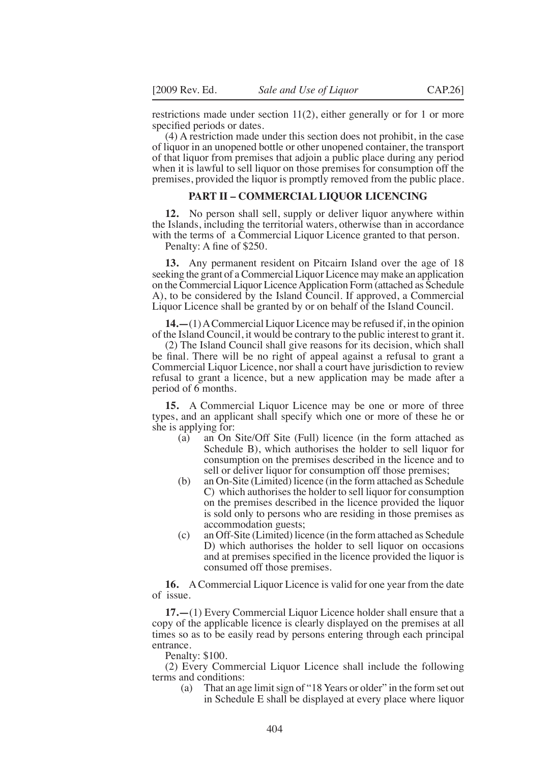restrictions made under section 11(2), either generally or for 1 or more specified periods or dates.

(4) A restriction made under this section does not prohibit, in the case of liquor in an unopened bottle or other unopened container, the transport of that liquor from premises that adjoin a public place during any period when it is lawful to sell liquor on those premises for consumption off the premises, provided the liquor is promptly removed from the public place.

## **PART II – COMMERCIAL LIQUOR LICENCING**

**12.** No person shall sell, supply or deliver liquor anywhere within the Islands, including the territorial waters, otherwise than in accordance with the terms of a Commercial Liquor Licence granted to that person.

Penalty: A fine of \$250.

**13.** Any permanent resident on Pitcairn Island over the age of 18 seeking the grant of a Commercial Liquor Licence may make an application on the Commercial Liquor Licence Application Form (attached as Schedule A), to be considered by the Island Council. If approved, a Commercial Liquor Licence shall be granted by or on behalf of the Island Council.

**14.—**(1) A Commercial Liquor Licence may be refused if, in the opinion of the Island Council, it would be contrary to the public interest to grant it.

(2) The Island Council shall give reasons for its decision, which shall be inal. There will be no right of appeal against a refusal to grant a Commercial Liquor Licence, nor shall a court have jurisdiction to review refusal to grant a licence, but a new application may be made after a period of 6 months.

**15.** A Commercial Liquor Licence may be one or more of three types, and an applicant shall specify which one or more of these he or she is applying for:<br>(a) an On

- an On Site/Off Site (Full) licence (in the form attached as Schedule B), which authorises the holder to sell liquor for consumption on the premises described in the licence and to sell or deliver liquor for consumption off those premises;
- (b) an On-Site (Limited) licence (in the form attached as Schedule C) which authorises the holder to sell liquor for consumption on the premises described in the licence provided the liquor is sold only to persons who are residing in those premises as accommodation guests;
- (c) an Off-Site (Limited) licence (in the form attached as Schedule D) which authorises the holder to sell liquor on occasions and at premises specified in the licence provided the liquor is consumed off those premises.

**16.** A Commercial Liquor Licence is valid for one year from the date of issue.

**17.—**(1) Every Commercial Liquor Licence holder shall ensure that a copy of the applicable licence is clearly displayed on the premises at all times so as to be easily read by persons entering through each principal entrance.

Penalty: \$100.

(2) Every Commercial Liquor Licence shall include the following terms and conditions:

 (a) That an age limit sign of "18 Years or older" in the form set out in Schedule E shall be displayed at every place where liquor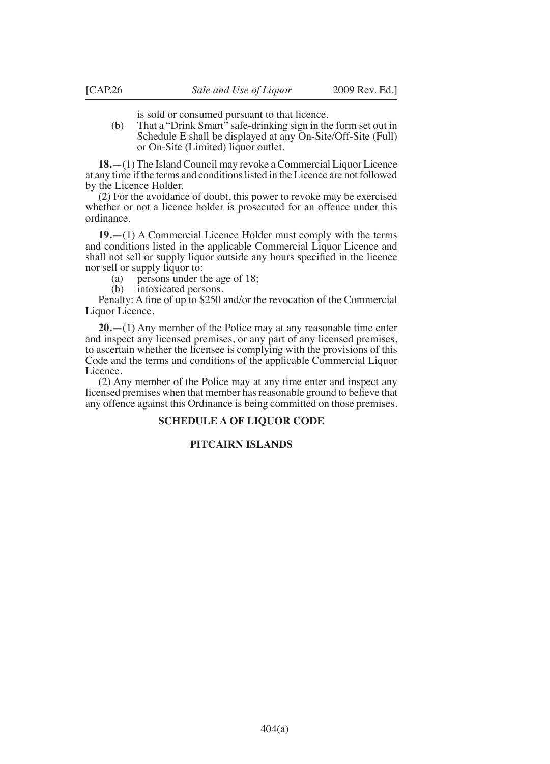is sold or consumed pursuant to that licence.

(b) That a "Drink Smart" safe-drinking sign in the form set out in Schedule E shall be displayed at any On-Site/Off-Site (Full) or On-Site (Limited) liquor outlet.

**18.**—(1) The Island Council may revoke a Commercial Liquor Licence at any time if the terms and conditions listed in the Licence are not followed by the Licence Holder.

(2) For the avoidance of doubt, this power to revoke may be exercised whether or not a licence holder is prosecuted for an offence under this ordinance.

**19.—**(1) A Commercial Licence Holder must comply with the terms and conditions listed in the applicable Commercial Liquor Licence and shall not sell or supply liquor outside any hours specified in the licence nor sell or supply liquor to:

(a) persons under the age of 18;<br>(b) intoxicated persons.

intoxicated persons.

Penalty: A fine of up to \$250 and/or the revocation of the Commercial Liquor Licence.

**20.—**(1) Any member of the Police may at any reasonable time enter and inspect any licensed premises, or any part of any licensed premises, to ascertain whether the licensee is complying with the provisions of this Code and the terms and conditions of the applicable Commercial Liquor Licence.

(2) Any member of the Police may at any time enter and inspect any licensed premises when that member has reasonable ground to believe that any offence against this Ordinance is being committed on those premises.

# **SCHEDULE A OF LIQUOR CODE**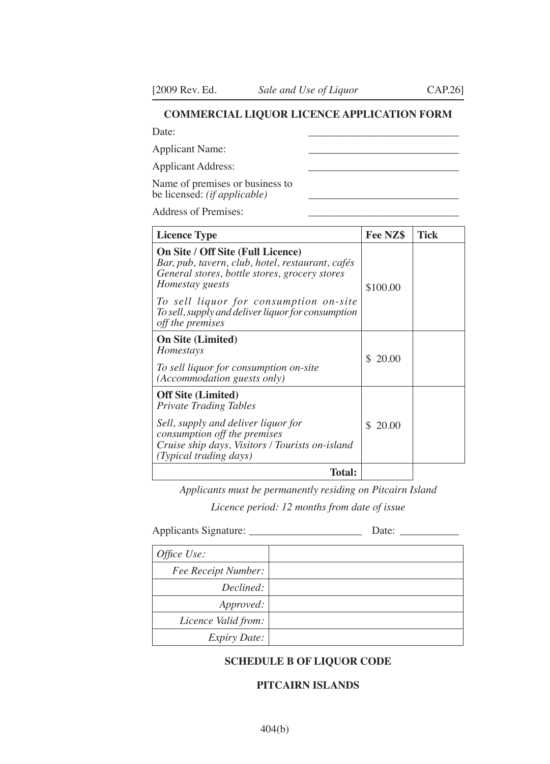# **COMMERCIAL LIQUOR LICENCE APPLICATION FORM**

Date: \_\_\_\_\_\_\_\_\_\_\_\_\_\_\_\_\_\_\_\_\_\_\_\_\_\_\_\_

Applicant Name:

Applicant Address:

Name of premises or business to be licensed: *(if applicable)* 

Address of Premises:

| <b>Licence Type</b>                                                                                                                                                                                                                                                           | Fee NZ\$    | Tick |
|-------------------------------------------------------------------------------------------------------------------------------------------------------------------------------------------------------------------------------------------------------------------------------|-------------|------|
| On Site / Off Site (Full Licence)<br>Bar, pub, tavern, club, hotel, restaurant, cafés<br>General stores, bottle stores, grocery stores<br>Homestay guests<br>To sell liquor for consumption on-site<br>To sell, supply and deliver liquor for consumption<br>off the premises | \$100.00    |      |
| <b>On Site (Limited)</b><br>Homestays<br>To sell liquor for consumption on-site<br>(Accommodation guests only)                                                                                                                                                                | S.<br>20.00 |      |
| <b>Off Site (Limited)</b><br><b>Private Trading Tables</b><br>Sell, supply and deliver liquor for<br>consumption off the premises<br>Cruise ship days, Visitors / Tourists on-island<br>(Typical trading days)                                                                | \$20.00     |      |
| Total:                                                                                                                                                                                                                                                                        |             |      |

*Applicants must be permanently residing on Pitcairn Island*

*Licence period: 12 months from date of issue*

Applicants Signature: \_\_\_\_\_\_\_\_\_\_\_\_\_\_\_\_\_\_\_\_\_ Date: \_\_\_\_\_\_\_\_\_\_\_

| Office Use:         |  |
|---------------------|--|
| Fee Receipt Number: |  |
| Declined:           |  |
| Approved:           |  |
| Licence Valid from: |  |
| <b>Expiry Date:</b> |  |

# **SCHEDULE B OF LIQUOR CODE**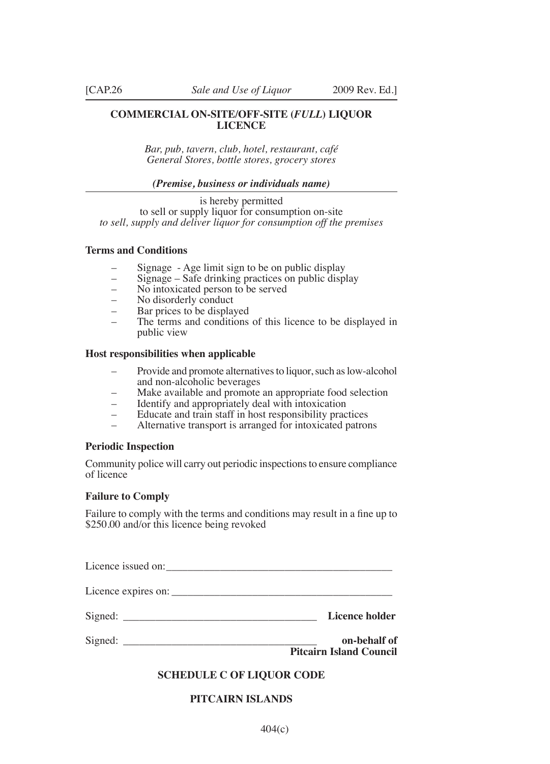# **COMMERCIAL ON-SITE/OFF-SITE (***FULL***) LIQUOR LICENCE**

*Bar, pub, tavern, club, hotel, restaurant, café General Stores, bottle stores, grocery stores*

#### *(Premise, business or individuals name)*

is hereby permitted to sell or supply liquor for consumption on-site *to sell, supply and deliver liquor for consumption off the premises*

# **Terms and Conditions**

- Signage Age limit sign to be on public display
- Signage Safe drinking practices on public display
- No intoxicated person to be served
- No disorderly conduct
- Bar prices to be displayed
- The terms and conditions of this licence to be displayed in public view

#### **Host responsibilities when applicable**

- Provide and promote alternatives to liquor, such as low-alcohol and non-alcoholic beverages
- Make available and promote an appropriate food selection
- Identify and appropriately deal with intoxication
- Educate and train staff in host responsibility practices
- Alternative transport is arranged for intoxicated patrons

#### **Periodic Inspection**

Community police will carry out periodic inspections to ensure compliance of licence

## **Failure to Comply**

Failure to comply with the terms and conditions may result in a fine up to \$250.00 and/or this licence being revoked

Licence issued on:

Licence expires on:

Signed: **Licence holder** 

Signed: **on-behalf of** 

**Pitcairn Island Council**

## **SCHEDULE C OF LIQUOR CODE**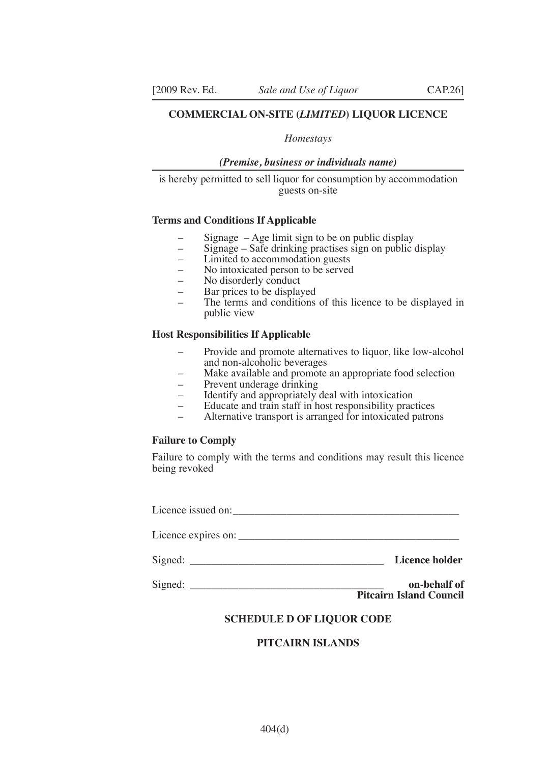## **COMMERCIAL ON-SITE (***LIMITED***) LIQUOR LICENCE**

#### *Homestays*

#### *(Premise, business or individuals name)*

is hereby permitted to sell liquor for consumption by accommodation guests on-site

# **Terms and Conditions If Applicable**

- Signage Age limit sign to be on public display
- Signage Safe drinking practises sign on public display
- Limited to accommodation guests
- No intoxicated person to be served
- No disorderly conduct
- Bar prices to be displayed
- The terms and conditions of this licence to be displayed in public view

# **Host Responsibilities If Applicable**

- Provide and promote alternatives to liquor, like low-alcohol and non-alcoholic beverages
- Make available and promote an appropriate food selection
- Prevent underage drinking
- Identify and appropriately deal with intoxication
- Educate and train staff in host responsibility practices
- Alternative transport is arranged for intoxicated patrons

#### **Failure to Comply**

Failure to comply with the terms and conditions may result this licence being revoked

| $C_{\rm max}$ = $\pm$ | T ! 1. . 1.1 |
|-----------------------|--------------|
| Licence expires on:   |              |
| Licence issued on:    |              |

Signed: \_\_\_\_\_\_\_\_\_\_\_\_\_\_\_\_\_\_\_\_\_\_\_\_\_\_\_\_\_\_\_\_\_\_\_\_ **Licence holder**

| Signed: | on-behalf of                   |
|---------|--------------------------------|
|         | <b>Pitcairn Island Council</b> |

# **SCHEDULE D OF LIQUOR CODE**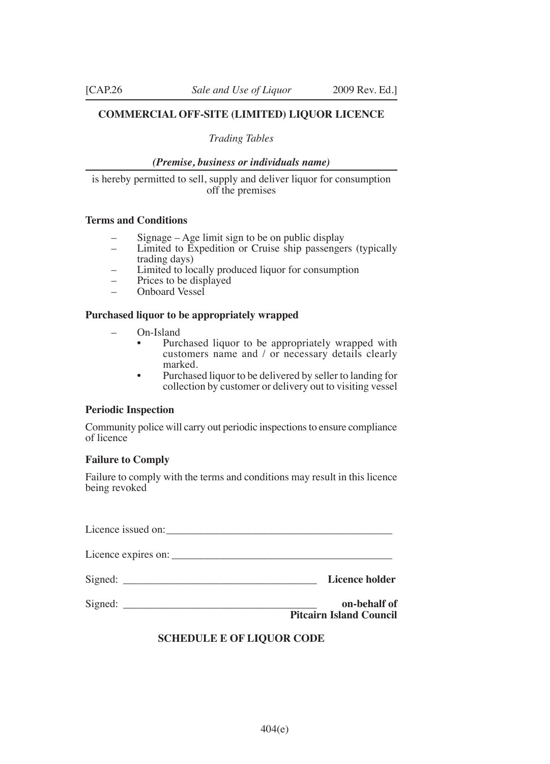# **COMMERCIAL OFF-SITE (LIMITED) LIQUOR LICENCE**

# *Trading Tables*

## *(Premise, business or individuals name)*

is hereby permitted to sell, supply and deliver liquor for consumption off the premises

# **Terms and Conditions**

- Signage  $-$  Age limit sign to be on public display
- Limited to Expedition or Cruise ship passengers (typically trading days)
- Limited to locally produced liquor for consumption
- Prices to be displayed
- Onboard Vessel

# **Purchased liquor to be appropriately wrapped**

- On-Island
	- Purchased liquor to be appropriately wrapped with customers name and / or necessary details clearly marked.
	- Purchased liquor to be delivered by seller to landing for collection by customer or delivery out to visiting vessel

# **Periodic Inspection**

Community police will carry out periodic inspections to ensure compliance of licence

# **Failure to Comply**

Failure to comply with the terms and conditions may result in this licence being revoked

| Licence holder                                 |
|------------------------------------------------|
| on-behalf of<br><b>Pitcairn Island Council</b> |

# **SCHEDULE E OF LIQUOR CODE**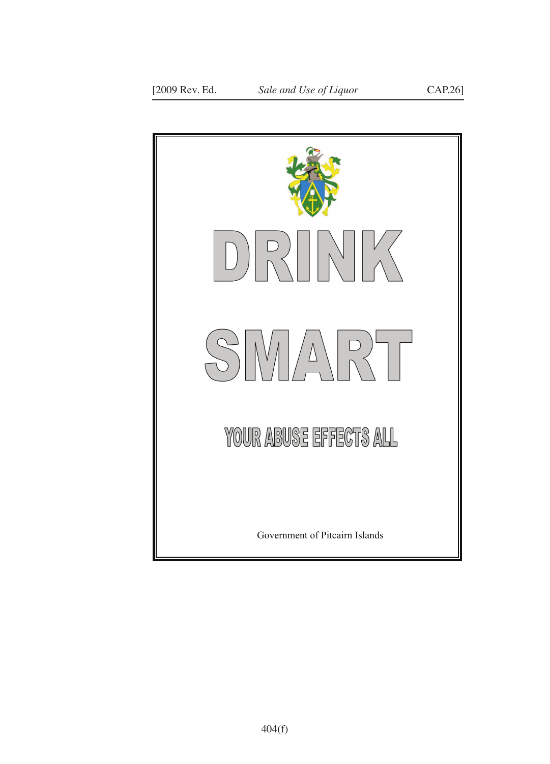